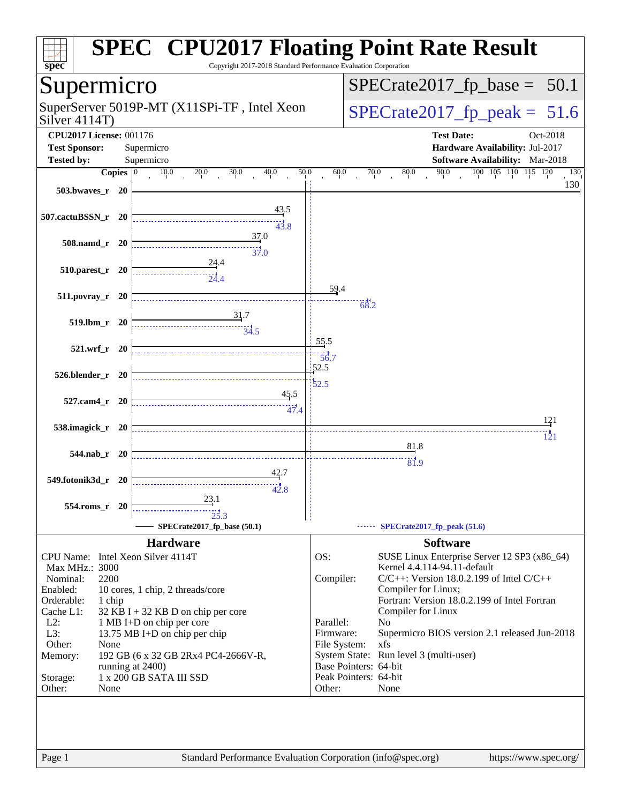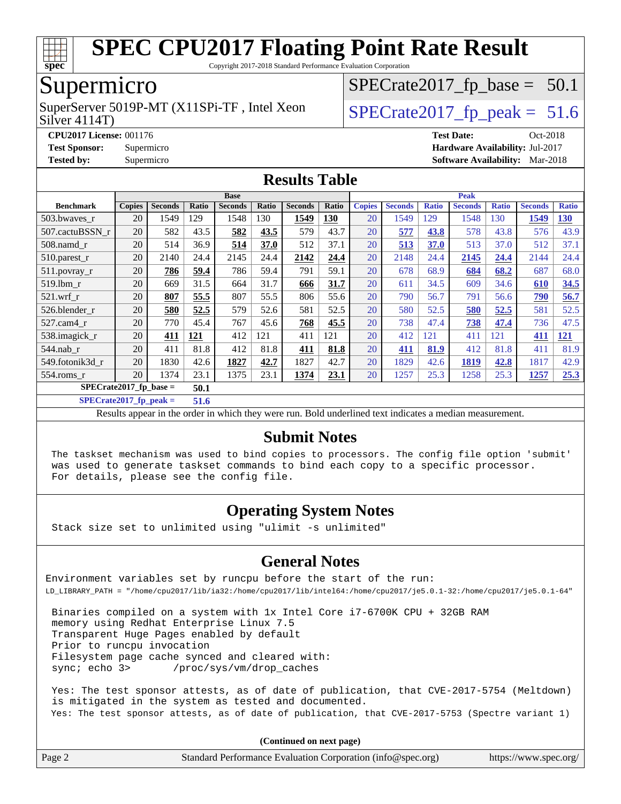

Copyright 2017-2018 Standard Performance Evaluation Corporation

### Supermicro

Silver 4114T) SuperServer 5019P-MT (X11SPi-TF, Intel Xeon  $\big|$  [SPECrate2017\\_fp\\_peak =](http://www.spec.org/auto/cpu2017/Docs/result-fields.html#SPECrate2017fppeak) 51.6

 $SPECTate2017_fp\_base = 50.1$ 

**[CPU2017 License:](http://www.spec.org/auto/cpu2017/Docs/result-fields.html#CPU2017License)** 001176 **[Test Date:](http://www.spec.org/auto/cpu2017/Docs/result-fields.html#TestDate)** Oct-2018 **[Test Sponsor:](http://www.spec.org/auto/cpu2017/Docs/result-fields.html#TestSponsor)** Supermicro **[Hardware Availability:](http://www.spec.org/auto/cpu2017/Docs/result-fields.html#HardwareAvailability)** Jul-2017 **[Tested by:](http://www.spec.org/auto/cpu2017/Docs/result-fields.html#Testedby)** Supermicro **[Software Availability:](http://www.spec.org/auto/cpu2017/Docs/result-fields.html#SoftwareAvailability)** Mar-2018

#### **[Results Table](http://www.spec.org/auto/cpu2017/Docs/result-fields.html#ResultsTable)**

|                                  | <b>Base</b>   |                |       |                |       | <b>Peak</b>    |            |               |                |              |                |              |                |              |
|----------------------------------|---------------|----------------|-------|----------------|-------|----------------|------------|---------------|----------------|--------------|----------------|--------------|----------------|--------------|
| <b>Benchmark</b>                 | <b>Copies</b> | <b>Seconds</b> | Ratio | <b>Seconds</b> | Ratio | <b>Seconds</b> | Ratio      | <b>Copies</b> | <b>Seconds</b> | <b>Ratio</b> | <b>Seconds</b> | <b>Ratio</b> | <b>Seconds</b> | <b>Ratio</b> |
| 503.bwaves_r                     | 20            | 1549           | 129   | 1548           | 130   | 1549           | <u>130</u> | 20            | 1549           | 129          | 1548           | 130          | 1549           | <u>130</u>   |
| 507.cactuBSSN r                  | 20            | 582            | 43.5  | 582            | 43.5  | 579            | 43.7       | 20            | 577            | 43.8         | 578            | 43.8         | 576            | 43.9         |
| $508$ .namd $r$                  | 20            | 514            | 36.9  | 514            | 37.0  | 512            | 37.1       | 20            | 513            | 37.0         | 513            | 37.0         | 512            | 37.1         |
| $510.parest_r$                   | 20            | 2140           | 24.4  | 2145           | 24.4  | 2142           | 24.4       | 20            | 2148           | 24.4         | 2145           | 24.4         | 2144           | 24.4         |
| 511.povray_r                     | 20            | 786            | 59.4  | 786            | 59.4  | 791            | 59.1       | 20            | 678            | 68.9         | 684            | 68.2         | 687            | 68.0         |
| 519.lbm r                        | 20            | 669            | 31.5  | 664            | 31.7  | 666            | 31.7       | 20            | 611            | 34.5         | 609            | 34.6         | 610            | 34.5         |
| $521$ .wrf r                     | 20            | 807            | 55.5  | 807            | 55.5  | 806            | 55.6       | 20            | 790            | 56.7         | 791            | 56.6         | 790            | 56.7         |
| 526.blender r                    | 20            | 580            | 52.5  | 579            | 52.6  | 581            | 52.5       | 20            | 580            | 52.5         | 580            | 52.5         | 581            | 52.5         |
| 527.cam4 r                       | 20            | 770            | 45.4  | 767            | 45.6  | 768            | 45.5       | 20            | 738            | 47.4         | 738            | 47.4         | 736            | 47.5         |
| 538.imagick_r                    | 20            | 411            | 121   | 412            | 121   | 411            | 121        | 20            | 412            | 121          | 411            | 121          | 411            | <u>121</u>   |
| $544$ .nab r                     | 20            | 411            | 81.8  | 412            | 81.8  | 411            | 81.8       | 20            | 411            | 81.9         | 412            | 81.8         | 411            | 81.9         |
| 549.fotonik3d r                  | 20            | 1830           | 42.6  | 1827           | 42.7  | 1827           | 42.7       | 20            | 1829           | 42.6         | 1819           | 42.8         | 1817           | 42.9         |
| $554$ .roms $r$                  | 20            | 1374           | 23.1  | 1375           | 23.1  | 1374           | 23.1       | 20            | 1257           | 25.3         | 1258           | 25.3         | 1257           | 25.3         |
| $SPECrate2017$ fp base =<br>50.1 |               |                |       |                |       |                |            |               |                |              |                |              |                |              |

**[SPECrate2017\\_fp\\_peak =](http://www.spec.org/auto/cpu2017/Docs/result-fields.html#SPECrate2017fppeak) 51.6**

Results appear in the [order in which they were run.](http://www.spec.org/auto/cpu2017/Docs/result-fields.html#RunOrder) Bold underlined text [indicates a median measurement.](http://www.spec.org/auto/cpu2017/Docs/result-fields.html#Median)

#### **[Submit Notes](http://www.spec.org/auto/cpu2017/Docs/result-fields.html#SubmitNotes)**

 The taskset mechanism was used to bind copies to processors. The config file option 'submit' was used to generate taskset commands to bind each copy to a specific processor. For details, please see the config file.

#### **[Operating System Notes](http://www.spec.org/auto/cpu2017/Docs/result-fields.html#OperatingSystemNotes)**

Stack size set to unlimited using "ulimit -s unlimited"

#### **[General Notes](http://www.spec.org/auto/cpu2017/Docs/result-fields.html#GeneralNotes)**

Environment variables set by runcpu before the start of the run: LD\_LIBRARY\_PATH = "/home/cpu2017/lib/ia32:/home/cpu2017/lib/intel64:/home/cpu2017/je5.0.1-32:/home/cpu2017/je5.0.1-64"

 Binaries compiled on a system with 1x Intel Core i7-6700K CPU + 32GB RAM memory using Redhat Enterprise Linux 7.5 Transparent Huge Pages enabled by default Prior to runcpu invocation Filesystem page cache synced and cleared with: sync; echo 3> /proc/sys/vm/drop\_caches

 Yes: The test sponsor attests, as of date of publication, that CVE-2017-5754 (Meltdown) is mitigated in the system as tested and documented. Yes: The test sponsor attests, as of date of publication, that CVE-2017-5753 (Spectre variant 1)

**(Continued on next page)**

| Page 2 | Standard Performance Evaluation Corporation (info@spec.org) | https://www.spec.org/ |
|--------|-------------------------------------------------------------|-----------------------|
|--------|-------------------------------------------------------------|-----------------------|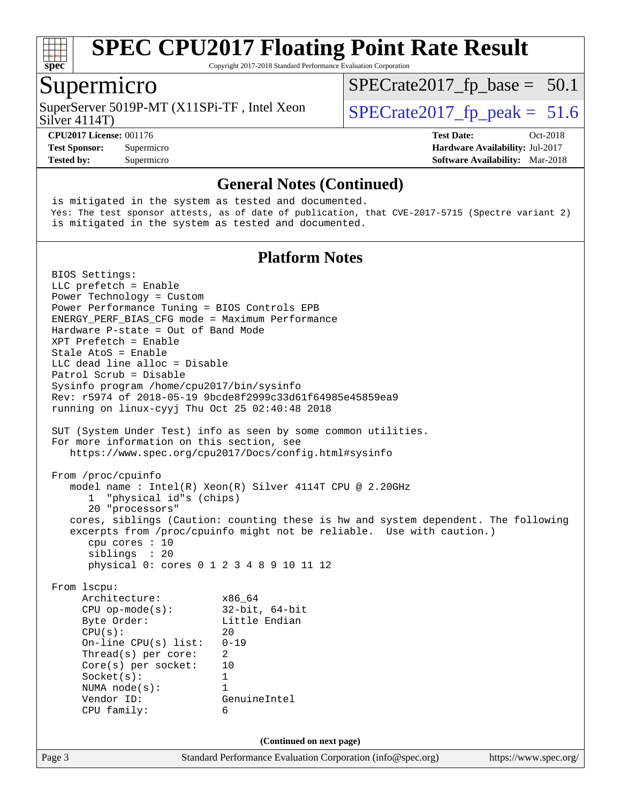

Copyright 2017-2018 Standard Performance Evaluation Corporation

#### Supermicro

SuperServer 5019P-MT (X11SPi-TF, Intel Xeon  $\vert$  [SPECrate2017\\_fp\\_peak =](http://www.spec.org/auto/cpu2017/Docs/result-fields.html#SPECrate2017fppeak) 51.6

 $SPECTate2017_fp\_base = 50.1$ 

Silver 4114T)

**[Test Sponsor:](http://www.spec.org/auto/cpu2017/Docs/result-fields.html#TestSponsor)** Supermicro **[Hardware Availability:](http://www.spec.org/auto/cpu2017/Docs/result-fields.html#HardwareAvailability)** Jul-2017 **[Tested by:](http://www.spec.org/auto/cpu2017/Docs/result-fields.html#Testedby)** Supermicro **[Software Availability:](http://www.spec.org/auto/cpu2017/Docs/result-fields.html#SoftwareAvailability)** Mar-2018

**[CPU2017 License:](http://www.spec.org/auto/cpu2017/Docs/result-fields.html#CPU2017License)** 001176 **[Test Date:](http://www.spec.org/auto/cpu2017/Docs/result-fields.html#TestDate)** Oct-2018

#### **[General Notes \(Continued\)](http://www.spec.org/auto/cpu2017/Docs/result-fields.html#GeneralNotes)**

Page 3 Standard Performance Evaluation Corporation [\(info@spec.org\)](mailto:info@spec.org) <https://www.spec.org/> is mitigated in the system as tested and documented. Yes: The test sponsor attests, as of date of publication, that CVE-2017-5715 (Spectre variant 2) is mitigated in the system as tested and documented. **[Platform Notes](http://www.spec.org/auto/cpu2017/Docs/result-fields.html#PlatformNotes)** BIOS Settings: LLC prefetch = Enable Power Technology = Custom Power Performance Tuning = BIOS Controls EPB ENERGY\_PERF\_BIAS\_CFG mode = Maximum Performance Hardware P-state = Out of Band Mode XPT Prefetch = Enable Stale AtoS = Enable LLC dead line alloc = Disable Patrol Scrub = Disable Sysinfo program /home/cpu2017/bin/sysinfo Rev: r5974 of 2018-05-19 9bcde8f2999c33d61f64985e45859ea9 running on linux-cyyj Thu Oct 25 02:40:48 2018 SUT (System Under Test) info as seen by some common utilities. For more information on this section, see <https://www.spec.org/cpu2017/Docs/config.html#sysinfo> From /proc/cpuinfo model name : Intel(R) Xeon(R) Silver 4114T CPU @ 2.20GHz 1 "physical id"s (chips) 20 "processors" cores, siblings (Caution: counting these is hw and system dependent. The following excerpts from /proc/cpuinfo might not be reliable. Use with caution.) cpu cores : 10 siblings : 20 physical 0: cores 0 1 2 3 4 8 9 10 11 12 From lscpu: Architecture: x86\_64 CPU op-mode(s): 32-bit, 64-bit Byte Order: Little Endian  $CPU(s):$  20 On-line CPU(s) list: 0-19 Thread(s) per core: 2 Core(s) per socket: 10 Socket(s): 1 NUMA node(s): 1 Vendor ID: GenuineIntel CPU family: 6 **(Continued on next page)**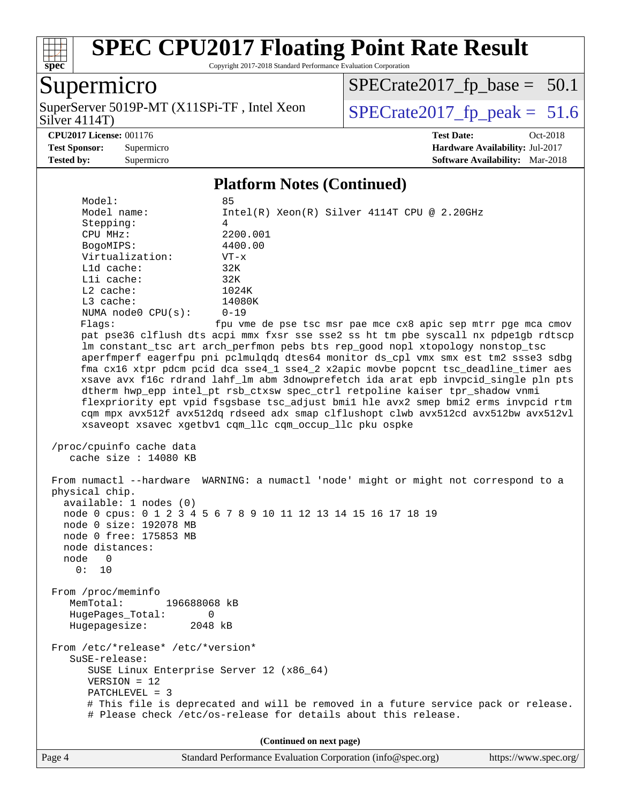

Copyright 2017-2018 Standard Performance Evaluation Corporation

### Supermicro

Silver 4114T) SuperServer 5019P-MT (X11SPi-TF, Intel Xeon  $\vert$  [SPECrate2017\\_fp\\_peak =](http://www.spec.org/auto/cpu2017/Docs/result-fields.html#SPECrate2017fppeak) 51.6

 $SPECTate2017_fp\_base = 50.1$ 

**[CPU2017 License:](http://www.spec.org/auto/cpu2017/Docs/result-fields.html#CPU2017License)** 001176 **[Test Date:](http://www.spec.org/auto/cpu2017/Docs/result-fields.html#TestDate)** Oct-2018

**[Test Sponsor:](http://www.spec.org/auto/cpu2017/Docs/result-fields.html#TestSponsor)** Supermicro **[Hardware Availability:](http://www.spec.org/auto/cpu2017/Docs/result-fields.html#HardwareAvailability)** Jul-2017 **[Tested by:](http://www.spec.org/auto/cpu2017/Docs/result-fields.html#Testedby)** Supermicro **[Software Availability:](http://www.spec.org/auto/cpu2017/Docs/result-fields.html#SoftwareAvailability)** Mar-2018

#### **[Platform Notes \(Continued\)](http://www.spec.org/auto/cpu2017/Docs/result-fields.html#PlatformNotes)**

 Model: 85 Model name: Intel(R) Xeon(R) Silver 4114T CPU @ 2.20GHz Stepping: 4 CPU MHz: 2200.001 BogoMIPS: 4400.00 Virtualization: VT-x L1d cache: 32K L1i cache: 32K L2 cache: 1024K L3 cache: 14080K NUMA node0 CPU(s): 0-19 Flags: fpu vme de pse tsc msr pae mce cx8 apic sep mtrr pge mca cmov pat pse36 clflush dts acpi mmx fxsr sse sse2 ss ht tm pbe syscall nx pdpe1gb rdtscp lm constant\_tsc art arch\_perfmon pebs bts rep\_good nopl xtopology nonstop\_tsc aperfmperf eagerfpu pni pclmulqdq dtes64 monitor ds\_cpl vmx smx est tm2 ssse3 sdbg fma cx16 xtpr pdcm pcid dca sse4\_1 sse4\_2 x2apic movbe popcnt tsc\_deadline\_timer aes xsave avx f16c rdrand lahf\_lm abm 3dnowprefetch ida arat epb invpcid\_single pln pts dtherm hwp\_epp intel\_pt rsb\_ctxsw spec\_ctrl retpoline kaiser tpr\_shadow vnmi flexpriority ept vpid fsgsbase tsc\_adjust bmi1 hle avx2 smep bmi2 erms invpcid rtm cqm mpx avx512f avx512dq rdseed adx smap clflushopt clwb avx512cd avx512bw avx512vl xsaveopt xsavec xgetbv1 cqm\_llc cqm\_occup\_llc pku ospke /proc/cpuinfo cache data cache size : 14080 KB From numactl --hardware WARNING: a numactl 'node' might or might not correspond to a physical chip. available: 1 nodes (0) node 0 cpus: 0 1 2 3 4 5 6 7 8 9 10 11 12 13 14 15 16 17 18 19 node 0 size: 192078 MB node 0 free: 175853 MB node distances: node 0 0: 10 From /proc/meminfo MemTotal: 196688068 kB HugePages\_Total: 0 Hugepagesize: 2048 kB From /etc/\*release\* /etc/\*version\* SuSE-release: SUSE Linux Enterprise Server 12 (x86\_64) VERSION = 12 PATCHLEVEL = 3 # This file is deprecated and will be removed in a future service pack or release. # Please check /etc/os-release for details about this release. **(Continued on next page)**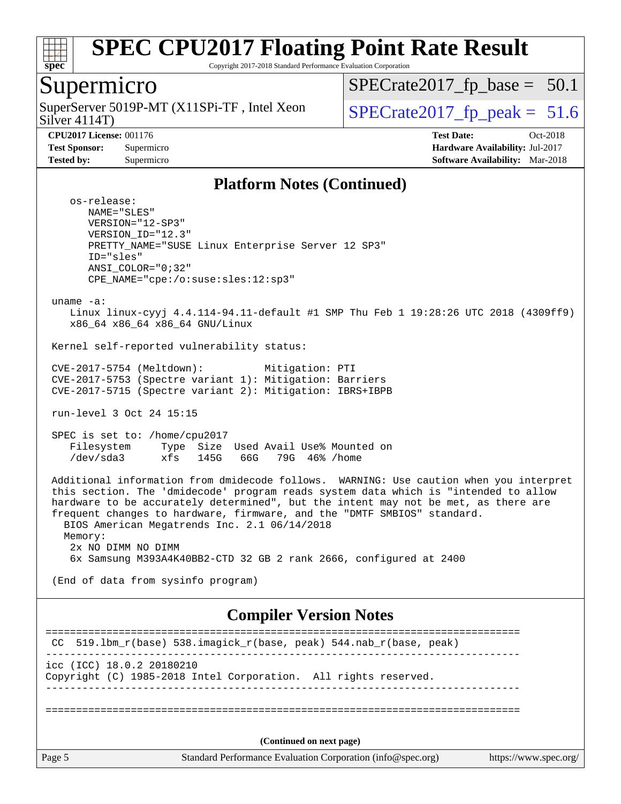

Copyright 2017-2018 Standard Performance Evaluation Corporation

#### Supermicro

Silver 4114T) SuperServer 5019P-MT (X11SPi-TF, Intel Xeon  $S^{1}_{S}$  SPECrate 2017 fp peak = 51.6

 $SPECTate2017_fp\_base = 50.1$ 

**[Tested by:](http://www.spec.org/auto/cpu2017/Docs/result-fields.html#Testedby)** Supermicro **[Software Availability:](http://www.spec.org/auto/cpu2017/Docs/result-fields.html#SoftwareAvailability)** Mar-2018

**[CPU2017 License:](http://www.spec.org/auto/cpu2017/Docs/result-fields.html#CPU2017License)** 001176 **[Test Date:](http://www.spec.org/auto/cpu2017/Docs/result-fields.html#TestDate)** Oct-2018 **[Test Sponsor:](http://www.spec.org/auto/cpu2017/Docs/result-fields.html#TestSponsor)** Supermicro **[Hardware Availability:](http://www.spec.org/auto/cpu2017/Docs/result-fields.html#HardwareAvailability)** Jul-2017

#### **[Platform Notes \(Continued\)](http://www.spec.org/auto/cpu2017/Docs/result-fields.html#PlatformNotes)**

 os-release: NAME="SLES" VERSION="12-SP3" VERSION\_ID="12.3" PRETTY\_NAME="SUSE Linux Enterprise Server 12 SP3" ID="sles" ANSI\_COLOR="0;32" CPE\_NAME="cpe:/o:suse:sles:12:sp3"

uname -a:

 Linux linux-cyyj 4.4.114-94.11-default #1 SMP Thu Feb 1 19:28:26 UTC 2018 (4309ff9) x86\_64 x86\_64 x86\_64 GNU/Linux

Kernel self-reported vulnerability status:

 CVE-2017-5754 (Meltdown): Mitigation: PTI CVE-2017-5753 (Spectre variant 1): Mitigation: Barriers CVE-2017-5715 (Spectre variant 2): Mitigation: IBRS+IBPB

run-level 3 Oct 24 15:15

 SPEC is set to: /home/cpu2017 Filesystem Type Size Used Avail Use% Mounted on /dev/sda3 xfs 145G 66G 79G 46% /home

 Additional information from dmidecode follows. WARNING: Use caution when you interpret this section. The 'dmidecode' program reads system data which is "intended to allow hardware to be accurately determined", but the intent may not be met, as there are frequent changes to hardware, firmware, and the "DMTF SMBIOS" standard. BIOS American Megatrends Inc. 2.1 06/14/2018 Memory: 2x NO DIMM NO DIMM 6x Samsung M393A4K40BB2-CTD 32 GB 2 rank 2666, configured at 2400

(End of data from sysinfo program)

#### **[Compiler Version Notes](http://www.spec.org/auto/cpu2017/Docs/result-fields.html#CompilerVersionNotes)**

Page 5 Standard Performance Evaluation Corporation [\(info@spec.org\)](mailto:info@spec.org) <https://www.spec.org/> ============================================================================== CC 519.1bm  $r(base)$  538.imagick  $r(base, peak)$  544.nab  $r(base, peak)$ ----------------------------------------------------------------------------- icc (ICC) 18.0.2 20180210 Copyright (C) 1985-2018 Intel Corporation. All rights reserved. ------------------------------------------------------------------------------ ============================================================================== **(Continued on next page)**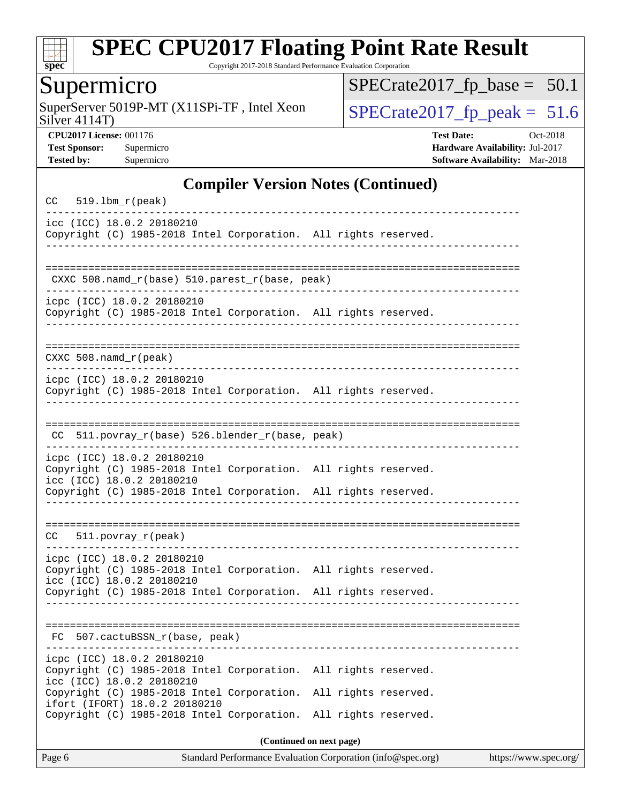

Copyright 2017-2018 Standard Performance Evaluation Corporation

### Supermicro

Silver 4114T) SuperServer 5019P-MT (X11SPi-TF, Intel Xeon  $Solve \, 4114T$ )

 $SPECrate2017_fp\_base = 50.1$ 

**[CPU2017 License:](http://www.spec.org/auto/cpu2017/Docs/result-fields.html#CPU2017License)** 001176 **[Test Date:](http://www.spec.org/auto/cpu2017/Docs/result-fields.html#TestDate)** Oct-2018 **[Test Sponsor:](http://www.spec.org/auto/cpu2017/Docs/result-fields.html#TestSponsor)** Supermicro **[Hardware Availability:](http://www.spec.org/auto/cpu2017/Docs/result-fields.html#HardwareAvailability)** Jul-2017 **[Tested by:](http://www.spec.org/auto/cpu2017/Docs/result-fields.html#Testedby)** Supermicro **[Software Availability:](http://www.spec.org/auto/cpu2017/Docs/result-fields.html#SoftwareAvailability)** Mar-2018

#### **[Compiler Version Notes \(Continued\)](http://www.spec.org/auto/cpu2017/Docs/result-fields.html#CompilerVersionNotes)**

| $519.1bm_r(peak)$<br>CC                                 |                                                                                                                                    |                                              |  |  |  |
|---------------------------------------------------------|------------------------------------------------------------------------------------------------------------------------------------|----------------------------------------------|--|--|--|
| icc (ICC) 18.0.2 20180210                               | Copyright (C) 1985-2018 Intel Corporation. All rights reserved.                                                                    |                                              |  |  |  |
|                                                         | CXXC 508.namd_r(base) 510.parest_r(base, peak)                                                                                     |                                              |  |  |  |
| icpc (ICC) 18.0.2 20180210                              | Copyright (C) 1985-2018 Intel Corporation. All rights reserved.                                                                    |                                              |  |  |  |
| $CXXC 508.namd_r (peak)$                                |                                                                                                                                    |                                              |  |  |  |
| icpc (ICC) 18.0.2 20180210                              | Copyright (C) 1985-2018 Intel Corporation. All rights reserved.                                                                    |                                              |  |  |  |
| CC.                                                     | 511.povray_r(base) 526.blender_r(base, peak)                                                                                       |                                              |  |  |  |
| icpc (ICC) 18.0.2 20180210<br>icc (ICC) 18.0.2 20180210 | Copyright (C) 1985-2018 Intel Corporation. All rights reserved.<br>Copyright (C) 1985-2018 Intel Corporation. All rights reserved. |                                              |  |  |  |
| $511. povray_r (peak)$<br>CC.                           |                                                                                                                                    |                                              |  |  |  |
| icpc (ICC) 18.0.2 20180210<br>icc (ICC) 18.0.2 20180210 | Copyright (C) 1985-2018 Intel Corporation. All rights reserved.<br>Copyright (C) 1985-2018 Intel Corporation. All rights reserved. |                                              |  |  |  |
| 507.cactuBSSN_r(base, peak)<br>FC.                      |                                                                                                                                    |                                              |  |  |  |
| icpc (ICC) 18.0.2 20180210<br>icc (ICC) 18.0.2 20180210 | Copyright (C) 1985-2018 Intel Corporation. All rights reserved.                                                                    |                                              |  |  |  |
| ifort (IFORT) 18.0.2 20180210                           | Copyright (C) 1985-2018 Intel Corporation.<br>Copyright (C) 1985-2018 Intel Corporation.                                           | All rights reserved.<br>All rights reserved. |  |  |  |
| (Continued on next page)                                |                                                                                                                                    |                                              |  |  |  |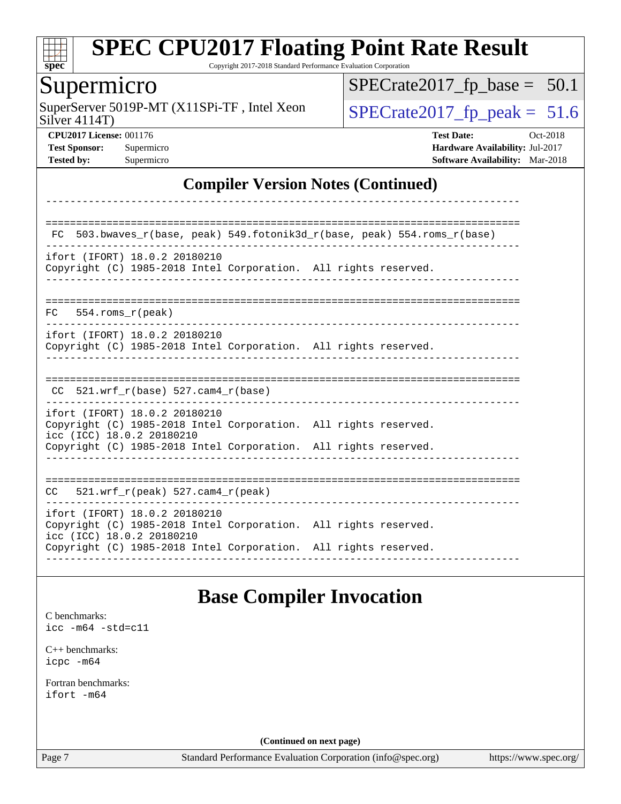

Copyright 2017-2018 Standard Performance Evaluation Corporation

### Supermicro

Silver 4114T) SuperServer 5019P-MT (X11SPi-TF, Intel Xeon  $Solve \, 4114T$ )

 $SPECrate2017_fp\_base = 50.1$ 

**[CPU2017 License:](http://www.spec.org/auto/cpu2017/Docs/result-fields.html#CPU2017License)** 001176 **[Test Date:](http://www.spec.org/auto/cpu2017/Docs/result-fields.html#TestDate)** Oct-2018 **[Test Sponsor:](http://www.spec.org/auto/cpu2017/Docs/result-fields.html#TestSponsor)** Supermicro **[Hardware Availability:](http://www.spec.org/auto/cpu2017/Docs/result-fields.html#HardwareAvailability)** Jul-2017 **[Tested by:](http://www.spec.org/auto/cpu2017/Docs/result-fields.html#Testedby)** Supermicro **[Software Availability:](http://www.spec.org/auto/cpu2017/Docs/result-fields.html#SoftwareAvailability)** Mar-2018

#### **[Compiler Version Notes \(Continued\)](http://www.spec.org/auto/cpu2017/Docs/result-fields.html#CompilerVersionNotes)**

| FC.                                                        | 503.bwaves_r(base, peak) 549.fotonik3d_r(base, peak) 554.roms_r(base)                                                              |
|------------------------------------------------------------|------------------------------------------------------------------------------------------------------------------------------------|
| ifort (IFORT) 18.0.2 20180210                              | Copyright (C) 1985-2018 Intel Corporation. All rights reserved.                                                                    |
| $FC$ 554. roms $r$ (peak)                                  |                                                                                                                                    |
| ifort (IFORT) 18.0.2 20180210                              | Copyright (C) 1985-2018 Intel Corporation. All rights reserved.                                                                    |
| 521.wrf $r(base)$ 527.cam4 $r(base)$<br>CC.                |                                                                                                                                    |
| ifort (IFORT) 18.0.2 20180210<br>icc (ICC) 18.0.2 20180210 | Copyright (C) 1985-2018 Intel Corporation. All rights reserved.<br>Copyright (C) 1985-2018 Intel Corporation. All rights reserved. |
| 521.wrf $r(\text{peak})$ 527.cam4 $r(\text{peak})$<br>CC   |                                                                                                                                    |
| ifort (IFORT) 18.0.2 20180210<br>icc (ICC) 18.0.2 20180210 | Copyright (C) 1985-2018 Intel Corporation. All rights reserved.<br>Copyright (C) 1985-2018 Intel Corporation. All rights reserved. |

#### **[Base Compiler Invocation](http://www.spec.org/auto/cpu2017/Docs/result-fields.html#BaseCompilerInvocation)**

[C benchmarks](http://www.spec.org/auto/cpu2017/Docs/result-fields.html#Cbenchmarks): [icc -m64 -std=c11](http://www.spec.org/cpu2017/results/res2018q4/cpu2017-20181029-09402.flags.html#user_CCbase_intel_icc_64bit_c11_33ee0cdaae7deeeab2a9725423ba97205ce30f63b9926c2519791662299b76a0318f32ddfffdc46587804de3178b4f9328c46fa7c2b0cd779d7a61945c91cd35)

[C++ benchmarks:](http://www.spec.org/auto/cpu2017/Docs/result-fields.html#CXXbenchmarks) [icpc -m64](http://www.spec.org/cpu2017/results/res2018q4/cpu2017-20181029-09402.flags.html#user_CXXbase_intel_icpc_64bit_4ecb2543ae3f1412ef961e0650ca070fec7b7afdcd6ed48761b84423119d1bf6bdf5cad15b44d48e7256388bc77273b966e5eb805aefd121eb22e9299b2ec9d9)

[Fortran benchmarks](http://www.spec.org/auto/cpu2017/Docs/result-fields.html#Fortranbenchmarks): [ifort -m64](http://www.spec.org/cpu2017/results/res2018q4/cpu2017-20181029-09402.flags.html#user_FCbase_intel_ifort_64bit_24f2bb282fbaeffd6157abe4f878425411749daecae9a33200eee2bee2fe76f3b89351d69a8130dd5949958ce389cf37ff59a95e7a40d588e8d3a57e0c3fd751)

**(Continued on next page)**

Page 7 Standard Performance Evaluation Corporation [\(info@spec.org\)](mailto:info@spec.org) <https://www.spec.org/>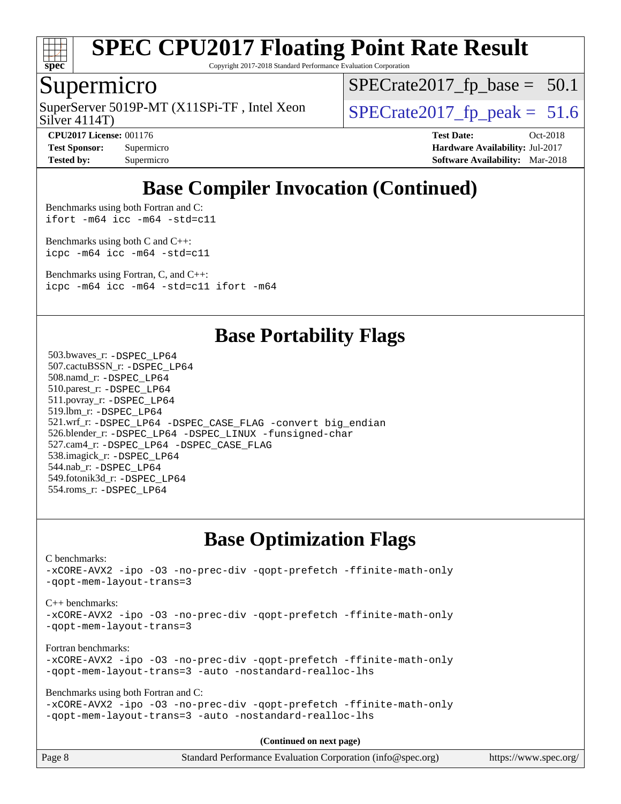

Copyright 2017-2018 Standard Performance Evaluation Corporation

#### Supermicro

Silver 4114T) SuperServer 5019P-MT (X11SPi-TF, Intel Xeon  $\vert$  [SPECrate2017\\_fp\\_peak =](http://www.spec.org/auto/cpu2017/Docs/result-fields.html#SPECrate2017fppeak) 51.6

 $SPECTate2017_fp\_base = 50.1$ 

**[CPU2017 License:](http://www.spec.org/auto/cpu2017/Docs/result-fields.html#CPU2017License)** 001176 **[Test Date:](http://www.spec.org/auto/cpu2017/Docs/result-fields.html#TestDate)** Oct-2018 **[Test Sponsor:](http://www.spec.org/auto/cpu2017/Docs/result-fields.html#TestSponsor)** Supermicro **[Hardware Availability:](http://www.spec.org/auto/cpu2017/Docs/result-fields.html#HardwareAvailability)** Jul-2017 **[Tested by:](http://www.spec.org/auto/cpu2017/Docs/result-fields.html#Testedby)** Supermicro **[Software Availability:](http://www.spec.org/auto/cpu2017/Docs/result-fields.html#SoftwareAvailability)** Mar-2018

### **[Base Compiler Invocation \(Continued\)](http://www.spec.org/auto/cpu2017/Docs/result-fields.html#BaseCompilerInvocation)**

[Benchmarks using both Fortran and C](http://www.spec.org/auto/cpu2017/Docs/result-fields.html#BenchmarksusingbothFortranandC): [ifort -m64](http://www.spec.org/cpu2017/results/res2018q4/cpu2017-20181029-09402.flags.html#user_CC_FCbase_intel_ifort_64bit_24f2bb282fbaeffd6157abe4f878425411749daecae9a33200eee2bee2fe76f3b89351d69a8130dd5949958ce389cf37ff59a95e7a40d588e8d3a57e0c3fd751) [icc -m64 -std=c11](http://www.spec.org/cpu2017/results/res2018q4/cpu2017-20181029-09402.flags.html#user_CC_FCbase_intel_icc_64bit_c11_33ee0cdaae7deeeab2a9725423ba97205ce30f63b9926c2519791662299b76a0318f32ddfffdc46587804de3178b4f9328c46fa7c2b0cd779d7a61945c91cd35)

[Benchmarks using both C and C++](http://www.spec.org/auto/cpu2017/Docs/result-fields.html#BenchmarksusingbothCandCXX): [icpc -m64](http://www.spec.org/cpu2017/results/res2018q4/cpu2017-20181029-09402.flags.html#user_CC_CXXbase_intel_icpc_64bit_4ecb2543ae3f1412ef961e0650ca070fec7b7afdcd6ed48761b84423119d1bf6bdf5cad15b44d48e7256388bc77273b966e5eb805aefd121eb22e9299b2ec9d9) [icc -m64 -std=c11](http://www.spec.org/cpu2017/results/res2018q4/cpu2017-20181029-09402.flags.html#user_CC_CXXbase_intel_icc_64bit_c11_33ee0cdaae7deeeab2a9725423ba97205ce30f63b9926c2519791662299b76a0318f32ddfffdc46587804de3178b4f9328c46fa7c2b0cd779d7a61945c91cd35)

[Benchmarks using Fortran, C, and C++:](http://www.spec.org/auto/cpu2017/Docs/result-fields.html#BenchmarksusingFortranCandCXX) [icpc -m64](http://www.spec.org/cpu2017/results/res2018q4/cpu2017-20181029-09402.flags.html#user_CC_CXX_FCbase_intel_icpc_64bit_4ecb2543ae3f1412ef961e0650ca070fec7b7afdcd6ed48761b84423119d1bf6bdf5cad15b44d48e7256388bc77273b966e5eb805aefd121eb22e9299b2ec9d9) [icc -m64 -std=c11](http://www.spec.org/cpu2017/results/res2018q4/cpu2017-20181029-09402.flags.html#user_CC_CXX_FCbase_intel_icc_64bit_c11_33ee0cdaae7deeeab2a9725423ba97205ce30f63b9926c2519791662299b76a0318f32ddfffdc46587804de3178b4f9328c46fa7c2b0cd779d7a61945c91cd35) [ifort -m64](http://www.spec.org/cpu2017/results/res2018q4/cpu2017-20181029-09402.flags.html#user_CC_CXX_FCbase_intel_ifort_64bit_24f2bb282fbaeffd6157abe4f878425411749daecae9a33200eee2bee2fe76f3b89351d69a8130dd5949958ce389cf37ff59a95e7a40d588e8d3a57e0c3fd751)

#### **[Base Portability Flags](http://www.spec.org/auto/cpu2017/Docs/result-fields.html#BasePortabilityFlags)**

 503.bwaves\_r: [-DSPEC\\_LP64](http://www.spec.org/cpu2017/results/res2018q4/cpu2017-20181029-09402.flags.html#suite_basePORTABILITY503_bwaves_r_DSPEC_LP64) 507.cactuBSSN\_r: [-DSPEC\\_LP64](http://www.spec.org/cpu2017/results/res2018q4/cpu2017-20181029-09402.flags.html#suite_basePORTABILITY507_cactuBSSN_r_DSPEC_LP64) 508.namd\_r: [-DSPEC\\_LP64](http://www.spec.org/cpu2017/results/res2018q4/cpu2017-20181029-09402.flags.html#suite_basePORTABILITY508_namd_r_DSPEC_LP64) 510.parest\_r: [-DSPEC\\_LP64](http://www.spec.org/cpu2017/results/res2018q4/cpu2017-20181029-09402.flags.html#suite_basePORTABILITY510_parest_r_DSPEC_LP64) 511.povray\_r: [-DSPEC\\_LP64](http://www.spec.org/cpu2017/results/res2018q4/cpu2017-20181029-09402.flags.html#suite_basePORTABILITY511_povray_r_DSPEC_LP64) 519.lbm\_r: [-DSPEC\\_LP64](http://www.spec.org/cpu2017/results/res2018q4/cpu2017-20181029-09402.flags.html#suite_basePORTABILITY519_lbm_r_DSPEC_LP64) 521.wrf\_r: [-DSPEC\\_LP64](http://www.spec.org/cpu2017/results/res2018q4/cpu2017-20181029-09402.flags.html#suite_basePORTABILITY521_wrf_r_DSPEC_LP64) [-DSPEC\\_CASE\\_FLAG](http://www.spec.org/cpu2017/results/res2018q4/cpu2017-20181029-09402.flags.html#b521.wrf_r_baseCPORTABILITY_DSPEC_CASE_FLAG) [-convert big\\_endian](http://www.spec.org/cpu2017/results/res2018q4/cpu2017-20181029-09402.flags.html#user_baseFPORTABILITY521_wrf_r_convert_big_endian_c3194028bc08c63ac5d04de18c48ce6d347e4e562e8892b8bdbdc0214820426deb8554edfa529a3fb25a586e65a3d812c835984020483e7e73212c4d31a38223) 526.blender\_r: [-DSPEC\\_LP64](http://www.spec.org/cpu2017/results/res2018q4/cpu2017-20181029-09402.flags.html#suite_basePORTABILITY526_blender_r_DSPEC_LP64) [-DSPEC\\_LINUX](http://www.spec.org/cpu2017/results/res2018q4/cpu2017-20181029-09402.flags.html#b526.blender_r_baseCPORTABILITY_DSPEC_LINUX) [-funsigned-char](http://www.spec.org/cpu2017/results/res2018q4/cpu2017-20181029-09402.flags.html#user_baseCPORTABILITY526_blender_r_force_uchar_40c60f00ab013830e2dd6774aeded3ff59883ba5a1fc5fc14077f794d777847726e2a5858cbc7672e36e1b067e7e5c1d9a74f7176df07886a243d7cc18edfe67) 527.cam4\_r: [-DSPEC\\_LP64](http://www.spec.org/cpu2017/results/res2018q4/cpu2017-20181029-09402.flags.html#suite_basePORTABILITY527_cam4_r_DSPEC_LP64) [-DSPEC\\_CASE\\_FLAG](http://www.spec.org/cpu2017/results/res2018q4/cpu2017-20181029-09402.flags.html#b527.cam4_r_baseCPORTABILITY_DSPEC_CASE_FLAG) 538.imagick\_r: [-DSPEC\\_LP64](http://www.spec.org/cpu2017/results/res2018q4/cpu2017-20181029-09402.flags.html#suite_basePORTABILITY538_imagick_r_DSPEC_LP64) 544.nab\_r: [-DSPEC\\_LP64](http://www.spec.org/cpu2017/results/res2018q4/cpu2017-20181029-09402.flags.html#suite_basePORTABILITY544_nab_r_DSPEC_LP64) 549.fotonik3d\_r: [-DSPEC\\_LP64](http://www.spec.org/cpu2017/results/res2018q4/cpu2017-20181029-09402.flags.html#suite_basePORTABILITY549_fotonik3d_r_DSPEC_LP64) 554.roms\_r: [-DSPEC\\_LP64](http://www.spec.org/cpu2017/results/res2018q4/cpu2017-20181029-09402.flags.html#suite_basePORTABILITY554_roms_r_DSPEC_LP64)

### **[Base Optimization Flags](http://www.spec.org/auto/cpu2017/Docs/result-fields.html#BaseOptimizationFlags)**

[C benchmarks](http://www.spec.org/auto/cpu2017/Docs/result-fields.html#Cbenchmarks): [-xCORE-AVX2](http://www.spec.org/cpu2017/results/res2018q4/cpu2017-20181029-09402.flags.html#user_CCbase_f-xCORE-AVX2) [-ipo](http://www.spec.org/cpu2017/results/res2018q4/cpu2017-20181029-09402.flags.html#user_CCbase_f-ipo) [-O3](http://www.spec.org/cpu2017/results/res2018q4/cpu2017-20181029-09402.flags.html#user_CCbase_f-O3) [-no-prec-div](http://www.spec.org/cpu2017/results/res2018q4/cpu2017-20181029-09402.flags.html#user_CCbase_f-no-prec-div) [-qopt-prefetch](http://www.spec.org/cpu2017/results/res2018q4/cpu2017-20181029-09402.flags.html#user_CCbase_f-qopt-prefetch) [-ffinite-math-only](http://www.spec.org/cpu2017/results/res2018q4/cpu2017-20181029-09402.flags.html#user_CCbase_f_finite_math_only_cb91587bd2077682c4b38af759c288ed7c732db004271a9512da14a4f8007909a5f1427ecbf1a0fb78ff2a814402c6114ac565ca162485bbcae155b5e4258871) [-qopt-mem-layout-trans=3](http://www.spec.org/cpu2017/results/res2018q4/cpu2017-20181029-09402.flags.html#user_CCbase_f-qopt-mem-layout-trans_de80db37974c74b1f0e20d883f0b675c88c3b01e9d123adea9b28688d64333345fb62bc4a798493513fdb68f60282f9a726aa07f478b2f7113531aecce732043) [C++ benchmarks:](http://www.spec.org/auto/cpu2017/Docs/result-fields.html#CXXbenchmarks) [-xCORE-AVX2](http://www.spec.org/cpu2017/results/res2018q4/cpu2017-20181029-09402.flags.html#user_CXXbase_f-xCORE-AVX2) [-ipo](http://www.spec.org/cpu2017/results/res2018q4/cpu2017-20181029-09402.flags.html#user_CXXbase_f-ipo) [-O3](http://www.spec.org/cpu2017/results/res2018q4/cpu2017-20181029-09402.flags.html#user_CXXbase_f-O3) [-no-prec-div](http://www.spec.org/cpu2017/results/res2018q4/cpu2017-20181029-09402.flags.html#user_CXXbase_f-no-prec-div) [-qopt-prefetch](http://www.spec.org/cpu2017/results/res2018q4/cpu2017-20181029-09402.flags.html#user_CXXbase_f-qopt-prefetch) [-ffinite-math-only](http://www.spec.org/cpu2017/results/res2018q4/cpu2017-20181029-09402.flags.html#user_CXXbase_f_finite_math_only_cb91587bd2077682c4b38af759c288ed7c732db004271a9512da14a4f8007909a5f1427ecbf1a0fb78ff2a814402c6114ac565ca162485bbcae155b5e4258871) [-qopt-mem-layout-trans=3](http://www.spec.org/cpu2017/results/res2018q4/cpu2017-20181029-09402.flags.html#user_CXXbase_f-qopt-mem-layout-trans_de80db37974c74b1f0e20d883f0b675c88c3b01e9d123adea9b28688d64333345fb62bc4a798493513fdb68f60282f9a726aa07f478b2f7113531aecce732043) [Fortran benchmarks](http://www.spec.org/auto/cpu2017/Docs/result-fields.html#Fortranbenchmarks): [-xCORE-AVX2](http://www.spec.org/cpu2017/results/res2018q4/cpu2017-20181029-09402.flags.html#user_FCbase_f-xCORE-AVX2) [-ipo](http://www.spec.org/cpu2017/results/res2018q4/cpu2017-20181029-09402.flags.html#user_FCbase_f-ipo) [-O3](http://www.spec.org/cpu2017/results/res2018q4/cpu2017-20181029-09402.flags.html#user_FCbase_f-O3) [-no-prec-div](http://www.spec.org/cpu2017/results/res2018q4/cpu2017-20181029-09402.flags.html#user_FCbase_f-no-prec-div) [-qopt-prefetch](http://www.spec.org/cpu2017/results/res2018q4/cpu2017-20181029-09402.flags.html#user_FCbase_f-qopt-prefetch) [-ffinite-math-only](http://www.spec.org/cpu2017/results/res2018q4/cpu2017-20181029-09402.flags.html#user_FCbase_f_finite_math_only_cb91587bd2077682c4b38af759c288ed7c732db004271a9512da14a4f8007909a5f1427ecbf1a0fb78ff2a814402c6114ac565ca162485bbcae155b5e4258871) [-qopt-mem-layout-trans=3](http://www.spec.org/cpu2017/results/res2018q4/cpu2017-20181029-09402.flags.html#user_FCbase_f-qopt-mem-layout-trans_de80db37974c74b1f0e20d883f0b675c88c3b01e9d123adea9b28688d64333345fb62bc4a798493513fdb68f60282f9a726aa07f478b2f7113531aecce732043) [-auto](http://www.spec.org/cpu2017/results/res2018q4/cpu2017-20181029-09402.flags.html#user_FCbase_f-auto) [-nostandard-realloc-lhs](http://www.spec.org/cpu2017/results/res2018q4/cpu2017-20181029-09402.flags.html#user_FCbase_f_2003_std_realloc_82b4557e90729c0f113870c07e44d33d6f5a304b4f63d4c15d2d0f1fab99f5daaed73bdb9275d9ae411527f28b936061aa8b9c8f2d63842963b95c9dd6426b8a) [Benchmarks using both Fortran and C](http://www.spec.org/auto/cpu2017/Docs/result-fields.html#BenchmarksusingbothFortranandC): [-xCORE-AVX2](http://www.spec.org/cpu2017/results/res2018q4/cpu2017-20181029-09402.flags.html#user_CC_FCbase_f-xCORE-AVX2) [-ipo](http://www.spec.org/cpu2017/results/res2018q4/cpu2017-20181029-09402.flags.html#user_CC_FCbase_f-ipo) [-O3](http://www.spec.org/cpu2017/results/res2018q4/cpu2017-20181029-09402.flags.html#user_CC_FCbase_f-O3) [-no-prec-div](http://www.spec.org/cpu2017/results/res2018q4/cpu2017-20181029-09402.flags.html#user_CC_FCbase_f-no-prec-div) [-qopt-prefetch](http://www.spec.org/cpu2017/results/res2018q4/cpu2017-20181029-09402.flags.html#user_CC_FCbase_f-qopt-prefetch) [-ffinite-math-only](http://www.spec.org/cpu2017/results/res2018q4/cpu2017-20181029-09402.flags.html#user_CC_FCbase_f_finite_math_only_cb91587bd2077682c4b38af759c288ed7c732db004271a9512da14a4f8007909a5f1427ecbf1a0fb78ff2a814402c6114ac565ca162485bbcae155b5e4258871) [-qopt-mem-layout-trans=3](http://www.spec.org/cpu2017/results/res2018q4/cpu2017-20181029-09402.flags.html#user_CC_FCbase_f-qopt-mem-layout-trans_de80db37974c74b1f0e20d883f0b675c88c3b01e9d123adea9b28688d64333345fb62bc4a798493513fdb68f60282f9a726aa07f478b2f7113531aecce732043) [-auto](http://www.spec.org/cpu2017/results/res2018q4/cpu2017-20181029-09402.flags.html#user_CC_FCbase_f-auto) [-nostandard-realloc-lhs](http://www.spec.org/cpu2017/results/res2018q4/cpu2017-20181029-09402.flags.html#user_CC_FCbase_f_2003_std_realloc_82b4557e90729c0f113870c07e44d33d6f5a304b4f63d4c15d2d0f1fab99f5daaed73bdb9275d9ae411527f28b936061aa8b9c8f2d63842963b95c9dd6426b8a)

**(Continued on next page)**

| Page 8 | Standard Performance Evaluation Corporation (info@spec.org) |  | https://www.spec.org/ |
|--------|-------------------------------------------------------------|--|-----------------------|
|--------|-------------------------------------------------------------|--|-----------------------|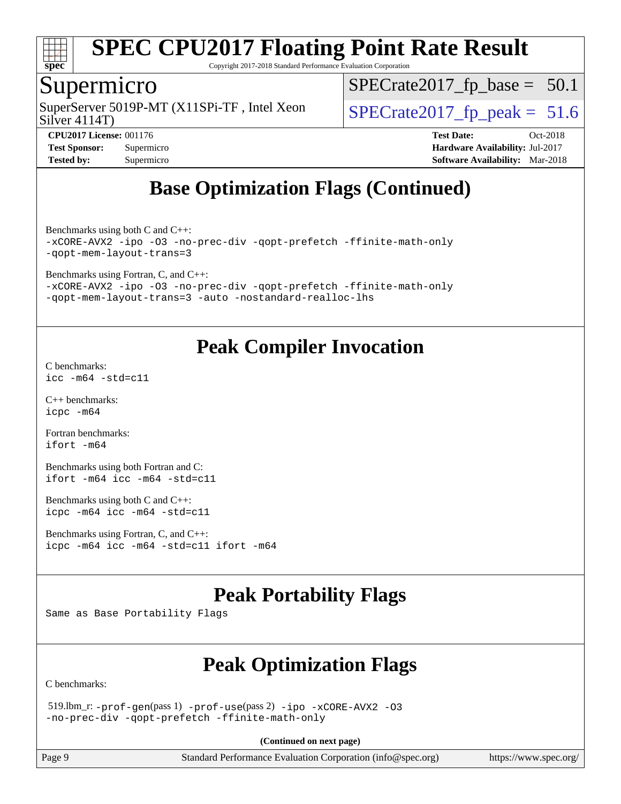

Copyright 2017-2018 Standard Performance Evaluation Corporation

### Supermicro

SuperServer 5019P-MT (X11SPi-TF, Intel Xeon  $\vert$  [SPECrate2017\\_fp\\_peak =](http://www.spec.org/auto/cpu2017/Docs/result-fields.html#SPECrate2017fppeak) 51.6

 $SPECrate2017_fp\_base = 50.1$ 

Silver 4114T)

**[Test Sponsor:](http://www.spec.org/auto/cpu2017/Docs/result-fields.html#TestSponsor)** Supermicro **[Hardware Availability:](http://www.spec.org/auto/cpu2017/Docs/result-fields.html#HardwareAvailability)** Jul-2017 **[Tested by:](http://www.spec.org/auto/cpu2017/Docs/result-fields.html#Testedby)** Supermicro **[Software Availability:](http://www.spec.org/auto/cpu2017/Docs/result-fields.html#SoftwareAvailability)** Mar-2018

**[CPU2017 License:](http://www.spec.org/auto/cpu2017/Docs/result-fields.html#CPU2017License)** 001176 **[Test Date:](http://www.spec.org/auto/cpu2017/Docs/result-fields.html#TestDate)** Oct-2018

**[Base Optimization Flags \(Continued\)](http://www.spec.org/auto/cpu2017/Docs/result-fields.html#BaseOptimizationFlags)**

[Benchmarks using both C and C++](http://www.spec.org/auto/cpu2017/Docs/result-fields.html#BenchmarksusingbothCandCXX): [-xCORE-AVX2](http://www.spec.org/cpu2017/results/res2018q4/cpu2017-20181029-09402.flags.html#user_CC_CXXbase_f-xCORE-AVX2) [-ipo](http://www.spec.org/cpu2017/results/res2018q4/cpu2017-20181029-09402.flags.html#user_CC_CXXbase_f-ipo) [-O3](http://www.spec.org/cpu2017/results/res2018q4/cpu2017-20181029-09402.flags.html#user_CC_CXXbase_f-O3) [-no-prec-div](http://www.spec.org/cpu2017/results/res2018q4/cpu2017-20181029-09402.flags.html#user_CC_CXXbase_f-no-prec-div) [-qopt-prefetch](http://www.spec.org/cpu2017/results/res2018q4/cpu2017-20181029-09402.flags.html#user_CC_CXXbase_f-qopt-prefetch) [-ffinite-math-only](http://www.spec.org/cpu2017/results/res2018q4/cpu2017-20181029-09402.flags.html#user_CC_CXXbase_f_finite_math_only_cb91587bd2077682c4b38af759c288ed7c732db004271a9512da14a4f8007909a5f1427ecbf1a0fb78ff2a814402c6114ac565ca162485bbcae155b5e4258871) [-qopt-mem-layout-trans=3](http://www.spec.org/cpu2017/results/res2018q4/cpu2017-20181029-09402.flags.html#user_CC_CXXbase_f-qopt-mem-layout-trans_de80db37974c74b1f0e20d883f0b675c88c3b01e9d123adea9b28688d64333345fb62bc4a798493513fdb68f60282f9a726aa07f478b2f7113531aecce732043)

[Benchmarks using Fortran, C, and C++:](http://www.spec.org/auto/cpu2017/Docs/result-fields.html#BenchmarksusingFortranCandCXX)

[-xCORE-AVX2](http://www.spec.org/cpu2017/results/res2018q4/cpu2017-20181029-09402.flags.html#user_CC_CXX_FCbase_f-xCORE-AVX2) [-ipo](http://www.spec.org/cpu2017/results/res2018q4/cpu2017-20181029-09402.flags.html#user_CC_CXX_FCbase_f-ipo) [-O3](http://www.spec.org/cpu2017/results/res2018q4/cpu2017-20181029-09402.flags.html#user_CC_CXX_FCbase_f-O3) [-no-prec-div](http://www.spec.org/cpu2017/results/res2018q4/cpu2017-20181029-09402.flags.html#user_CC_CXX_FCbase_f-no-prec-div) [-qopt-prefetch](http://www.spec.org/cpu2017/results/res2018q4/cpu2017-20181029-09402.flags.html#user_CC_CXX_FCbase_f-qopt-prefetch) [-ffinite-math-only](http://www.spec.org/cpu2017/results/res2018q4/cpu2017-20181029-09402.flags.html#user_CC_CXX_FCbase_f_finite_math_only_cb91587bd2077682c4b38af759c288ed7c732db004271a9512da14a4f8007909a5f1427ecbf1a0fb78ff2a814402c6114ac565ca162485bbcae155b5e4258871) [-qopt-mem-layout-trans=3](http://www.spec.org/cpu2017/results/res2018q4/cpu2017-20181029-09402.flags.html#user_CC_CXX_FCbase_f-qopt-mem-layout-trans_de80db37974c74b1f0e20d883f0b675c88c3b01e9d123adea9b28688d64333345fb62bc4a798493513fdb68f60282f9a726aa07f478b2f7113531aecce732043) [-auto](http://www.spec.org/cpu2017/results/res2018q4/cpu2017-20181029-09402.flags.html#user_CC_CXX_FCbase_f-auto) [-nostandard-realloc-lhs](http://www.spec.org/cpu2017/results/res2018q4/cpu2017-20181029-09402.flags.html#user_CC_CXX_FCbase_f_2003_std_realloc_82b4557e90729c0f113870c07e44d33d6f5a304b4f63d4c15d2d0f1fab99f5daaed73bdb9275d9ae411527f28b936061aa8b9c8f2d63842963b95c9dd6426b8a)

### **[Peak Compiler Invocation](http://www.spec.org/auto/cpu2017/Docs/result-fields.html#PeakCompilerInvocation)**

[C benchmarks](http://www.spec.org/auto/cpu2017/Docs/result-fields.html#Cbenchmarks): [icc -m64 -std=c11](http://www.spec.org/cpu2017/results/res2018q4/cpu2017-20181029-09402.flags.html#user_CCpeak_intel_icc_64bit_c11_33ee0cdaae7deeeab2a9725423ba97205ce30f63b9926c2519791662299b76a0318f32ddfffdc46587804de3178b4f9328c46fa7c2b0cd779d7a61945c91cd35)

[C++ benchmarks:](http://www.spec.org/auto/cpu2017/Docs/result-fields.html#CXXbenchmarks) [icpc -m64](http://www.spec.org/cpu2017/results/res2018q4/cpu2017-20181029-09402.flags.html#user_CXXpeak_intel_icpc_64bit_4ecb2543ae3f1412ef961e0650ca070fec7b7afdcd6ed48761b84423119d1bf6bdf5cad15b44d48e7256388bc77273b966e5eb805aefd121eb22e9299b2ec9d9)

[Fortran benchmarks](http://www.spec.org/auto/cpu2017/Docs/result-fields.html#Fortranbenchmarks): [ifort -m64](http://www.spec.org/cpu2017/results/res2018q4/cpu2017-20181029-09402.flags.html#user_FCpeak_intel_ifort_64bit_24f2bb282fbaeffd6157abe4f878425411749daecae9a33200eee2bee2fe76f3b89351d69a8130dd5949958ce389cf37ff59a95e7a40d588e8d3a57e0c3fd751)

[Benchmarks using both Fortran and C](http://www.spec.org/auto/cpu2017/Docs/result-fields.html#BenchmarksusingbothFortranandC): [ifort -m64](http://www.spec.org/cpu2017/results/res2018q4/cpu2017-20181029-09402.flags.html#user_CC_FCpeak_intel_ifort_64bit_24f2bb282fbaeffd6157abe4f878425411749daecae9a33200eee2bee2fe76f3b89351d69a8130dd5949958ce389cf37ff59a95e7a40d588e8d3a57e0c3fd751) [icc -m64 -std=c11](http://www.spec.org/cpu2017/results/res2018q4/cpu2017-20181029-09402.flags.html#user_CC_FCpeak_intel_icc_64bit_c11_33ee0cdaae7deeeab2a9725423ba97205ce30f63b9926c2519791662299b76a0318f32ddfffdc46587804de3178b4f9328c46fa7c2b0cd779d7a61945c91cd35)

[Benchmarks using both C and C++](http://www.spec.org/auto/cpu2017/Docs/result-fields.html#BenchmarksusingbothCandCXX): [icpc -m64](http://www.spec.org/cpu2017/results/res2018q4/cpu2017-20181029-09402.flags.html#user_CC_CXXpeak_intel_icpc_64bit_4ecb2543ae3f1412ef961e0650ca070fec7b7afdcd6ed48761b84423119d1bf6bdf5cad15b44d48e7256388bc77273b966e5eb805aefd121eb22e9299b2ec9d9) [icc -m64 -std=c11](http://www.spec.org/cpu2017/results/res2018q4/cpu2017-20181029-09402.flags.html#user_CC_CXXpeak_intel_icc_64bit_c11_33ee0cdaae7deeeab2a9725423ba97205ce30f63b9926c2519791662299b76a0318f32ddfffdc46587804de3178b4f9328c46fa7c2b0cd779d7a61945c91cd35)

[Benchmarks using Fortran, C, and C++:](http://www.spec.org/auto/cpu2017/Docs/result-fields.html#BenchmarksusingFortranCandCXX) [icpc -m64](http://www.spec.org/cpu2017/results/res2018q4/cpu2017-20181029-09402.flags.html#user_CC_CXX_FCpeak_intel_icpc_64bit_4ecb2543ae3f1412ef961e0650ca070fec7b7afdcd6ed48761b84423119d1bf6bdf5cad15b44d48e7256388bc77273b966e5eb805aefd121eb22e9299b2ec9d9) [icc -m64 -std=c11](http://www.spec.org/cpu2017/results/res2018q4/cpu2017-20181029-09402.flags.html#user_CC_CXX_FCpeak_intel_icc_64bit_c11_33ee0cdaae7deeeab2a9725423ba97205ce30f63b9926c2519791662299b76a0318f32ddfffdc46587804de3178b4f9328c46fa7c2b0cd779d7a61945c91cd35) [ifort -m64](http://www.spec.org/cpu2017/results/res2018q4/cpu2017-20181029-09402.flags.html#user_CC_CXX_FCpeak_intel_ifort_64bit_24f2bb282fbaeffd6157abe4f878425411749daecae9a33200eee2bee2fe76f3b89351d69a8130dd5949958ce389cf37ff59a95e7a40d588e8d3a57e0c3fd751)

### **[Peak Portability Flags](http://www.spec.org/auto/cpu2017/Docs/result-fields.html#PeakPortabilityFlags)**

Same as Base Portability Flags

### **[Peak Optimization Flags](http://www.spec.org/auto/cpu2017/Docs/result-fields.html#PeakOptimizationFlags)**

[C benchmarks](http://www.spec.org/auto/cpu2017/Docs/result-fields.html#Cbenchmarks):

 519.lbm\_r: [-prof-gen](http://www.spec.org/cpu2017/results/res2018q4/cpu2017-20181029-09402.flags.html#user_peakPASS1_CFLAGSPASS1_LDFLAGS519_lbm_r_prof_gen_5aa4926d6013ddb2a31985c654b3eb18169fc0c6952a63635c234f711e6e63dd76e94ad52365559451ec499a2cdb89e4dc58ba4c67ef54ca681ffbe1461d6b36)(pass 1) [-prof-use](http://www.spec.org/cpu2017/results/res2018q4/cpu2017-20181029-09402.flags.html#user_peakPASS2_CFLAGSPASS2_LDFLAGS519_lbm_r_prof_use_1a21ceae95f36a2b53c25747139a6c16ca95bd9def2a207b4f0849963b97e94f5260e30a0c64f4bb623698870e679ca08317ef8150905d41bd88c6f78df73f19)(pass 2) [-ipo](http://www.spec.org/cpu2017/results/res2018q4/cpu2017-20181029-09402.flags.html#user_peakPASS1_COPTIMIZEPASS2_COPTIMIZE519_lbm_r_f-ipo) [-xCORE-AVX2](http://www.spec.org/cpu2017/results/res2018q4/cpu2017-20181029-09402.flags.html#user_peakPASS2_COPTIMIZE519_lbm_r_f-xCORE-AVX2) [-O3](http://www.spec.org/cpu2017/results/res2018q4/cpu2017-20181029-09402.flags.html#user_peakPASS1_COPTIMIZEPASS2_COPTIMIZE519_lbm_r_f-O3) [-no-prec-div](http://www.spec.org/cpu2017/results/res2018q4/cpu2017-20181029-09402.flags.html#user_peakPASS1_COPTIMIZEPASS2_COPTIMIZE519_lbm_r_f-no-prec-div) [-qopt-prefetch](http://www.spec.org/cpu2017/results/res2018q4/cpu2017-20181029-09402.flags.html#user_peakPASS1_COPTIMIZEPASS2_COPTIMIZE519_lbm_r_f-qopt-prefetch) [-ffinite-math-only](http://www.spec.org/cpu2017/results/res2018q4/cpu2017-20181029-09402.flags.html#user_peakPASS1_COPTIMIZEPASS2_COPTIMIZE519_lbm_r_f_finite_math_only_cb91587bd2077682c4b38af759c288ed7c732db004271a9512da14a4f8007909a5f1427ecbf1a0fb78ff2a814402c6114ac565ca162485bbcae155b5e4258871)

**(Continued on next page)**

Page 9 Standard Performance Evaluation Corporation [\(info@spec.org\)](mailto:info@spec.org) <https://www.spec.org/>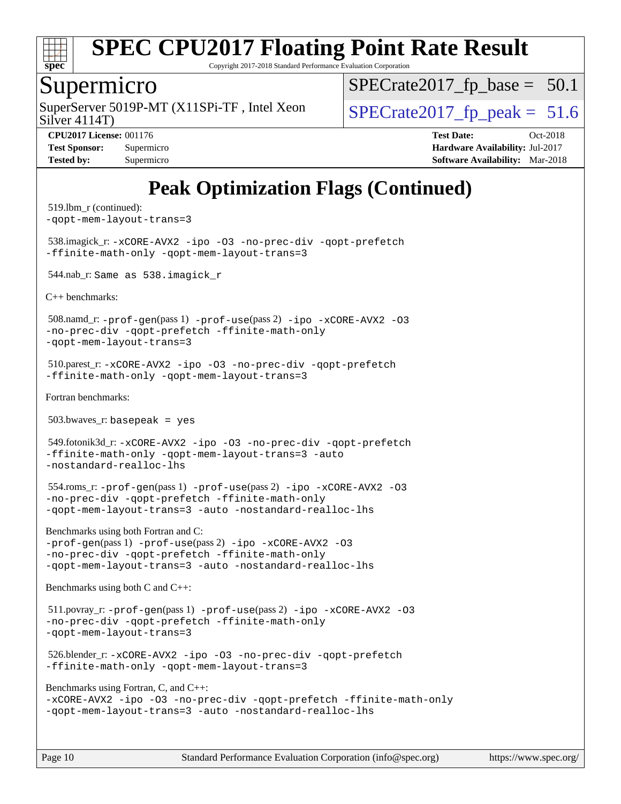

Copyright 2017-2018 Standard Performance Evaluation Corporation

#### Supermicro

SuperServer 5019P-MT (X11SPi-TF, Intel Xeon  $S^{1}_{S}$  SPECrate 2017 fp peak = 51.6

 $SPECTate2017_fp\_base = 50.1$ 

Silver 4114T)

**[CPU2017 License:](http://www.spec.org/auto/cpu2017/Docs/result-fields.html#CPU2017License)** 001176 **[Test Date:](http://www.spec.org/auto/cpu2017/Docs/result-fields.html#TestDate)** Oct-2018 **[Test Sponsor:](http://www.spec.org/auto/cpu2017/Docs/result-fields.html#TestSponsor)** Supermicro **[Hardware Availability:](http://www.spec.org/auto/cpu2017/Docs/result-fields.html#HardwareAvailability)** Jul-2017 **[Tested by:](http://www.spec.org/auto/cpu2017/Docs/result-fields.html#Testedby)** Supermicro **Supermicro [Software Availability:](http://www.spec.org/auto/cpu2017/Docs/result-fields.html#SoftwareAvailability)** Mar-2018

## **[Peak Optimization Flags \(Continued\)](http://www.spec.org/auto/cpu2017/Docs/result-fields.html#PeakOptimizationFlags)**

```
 519.lbm_r (continued):
-qopt-mem-layout-trans=3
 538.imagick_r: -xCORE-AVX2 -ipo -O3 -no-prec-div -qopt-prefetch
-ffinite-math-only -qopt-mem-layout-trans=3
 544.nab_r: Same as 538.imagick_r
C++ benchmarks: 
 508.namd_r: -prof-gen(pass 1) -prof-use(pass 2) -ipo -xCORE-AVX2 -O3
-no-prec-div -qopt-prefetch -ffinite-math-only
-qopt-mem-layout-trans=3
 510.parest_r: -xCORE-AVX2 -ipo -O3 -no-prec-div -qopt-prefetch
-ffinite-math-only -qopt-mem-layout-trans=3
Fortran benchmarks: 
 503.bwaves_r: basepeak = yes
 549.fotonik3d_r: -xCORE-AVX2 -ipo -O3 -no-prec-div -qopt-prefetch
-ffinite-math-only -qopt-mem-layout-trans=3 -auto
-nostandard-realloc-lhs
 554.roms_r: -prof-gen(pass 1) -prof-use(pass 2) -ipo -xCORE-AVX2 -O3
-no-prec-div -qopt-prefetch -ffinite-math-only
-qopt-mem-layout-trans=3 -auto -nostandard-realloc-lhs
Benchmarks using both Fortran and C: 
-prof-gen(pass 1) -prof-use(pass 2) -ipo -xCORE-AVX2 -O3
-no-prec-div -qopt-prefetch -ffinite-math-only
-qopt-mem-layout-trans=3 -auto -nostandard-realloc-lhs
Benchmarks using both C and C++: 
 511.povray_r: -prof-gen(pass 1) -prof-use(pass 2) -ipo -xCORE-AVX2 -O3
-no-prec-div -qopt-prefetch -ffinite-math-only
-qopt-mem-layout-trans=3
 526.blender_r: -xCORE-AVX2 -ipo -O3 -no-prec-div -qopt-prefetch
-ffinite-math-only -qopt-mem-layout-trans=3
Benchmarks using Fortran, C, and C++: 
-xCORE-AVX2 -ipo -O3 -no-prec-div -qopt-prefetch -ffinite-math-only
-qopt-mem-layout-trans=3 -auto -nostandard-realloc-lhs
```